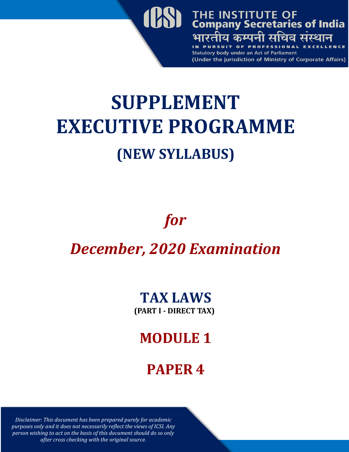

# **SUPPLEMENT EXECUTIVE PROGRAMME (NEW SYLLABUS)**

## *for*

### *December, 2020 Examination*

# **TAX LAWS**

**(PART I - DIRECT TAX)**

### **MODULE 1**

### **PAPER 4**

*Disclaimer: This document has been prepared purely for academic purposes only and it does not necessarily reflect the views of ICSI. Any person wishing to act on the basis of this document should do so only after cross checking with the original source.*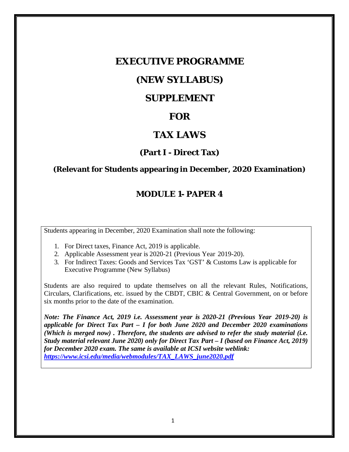#### **EXECUTIVE PROGRAMME**

#### **(NEW SYLLABUS)**

#### **SUPPLEMENT**

#### **FOR**

#### **TAX LAWS**

#### **(Part I - Direct Tax)**

#### **(Relevant for Students appearing in December, 2020 Examination)**

#### **MODULE 1- PAPER 4**

Students appearing in December, 2020 Examination shall note the following:

- 1. For Direct taxes, Finance Act, 2019 is applicable.
- 2. Applicable Assessment year is 2020-21 (Previous Year 2019-20).
- 3. For Indirect Taxes: Goods and Services Tax 'GST' & Customs Law is applicable for Executive Programme (New Syllabus)

Students are also required to update themselves on all the relevant Rules, Notifications, Circulars, Clarifications, etc. issued by the CBDT, CBIC & Central Government, on or before six months prior to the date of the examination.

*Note: The Finance Act, 2019 i.e. Assessment year is 2020-21 (Previous Year 2019-20) is applicable for Direct Tax Part – I for both June 2020 and December 2020 examinations (Which is merged now) . Therefore, the students are advised to refer the study material (i.e. Study material relevant June 2020) only for Direct Tax Part – I (based on Finance Act, 2019) for December 2020 exam. The same is available at ICSI website weblink: https://www.icsi.edu/media/webmodules/TAX\_LAWS\_june2020.pdf*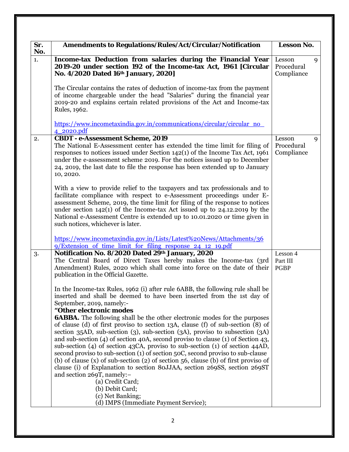| Sr.<br>No. | <b>Amendments to Regulations/Rules/Act/Circular/Notification</b>                                                                                                                                                                                                                                                                                                                                                                                                                                                                                                                                                                                                                                   | Lesson No.                              |
|------------|----------------------------------------------------------------------------------------------------------------------------------------------------------------------------------------------------------------------------------------------------------------------------------------------------------------------------------------------------------------------------------------------------------------------------------------------------------------------------------------------------------------------------------------------------------------------------------------------------------------------------------------------------------------------------------------------------|-----------------------------------------|
| 1.         | Income-tax Deduction from salaries during the Financial Year<br>2019-20 under section 192 of the Income-tax Act, 1961 [Circular<br>No. 4/2020 Dated 16th January, 2020]                                                                                                                                                                                                                                                                                                                                                                                                                                                                                                                            | Lesson<br>9<br>Procedural<br>Compliance |
|            | The Circular contains the rates of deduction of income-tax from the payment<br>of income chargeable under the head "Salaries" during the financial year<br>2019-20 and explains certain related provisions of the Act and Income-tax<br>Rules, 1962.                                                                                                                                                                                                                                                                                                                                                                                                                                               |                                         |
|            | https://www.incometaxindia.gov.in/communications/circular/circular_no_<br>4 2020.pdf                                                                                                                                                                                                                                                                                                                                                                                                                                                                                                                                                                                                               |                                         |
| 2.         | <b>CBDT - e-Assessment Scheme, 2019</b><br>The National E-Assessment center has extended the time limit for filing of<br>responses to notices issued under Section $142(1)$ of the Income Tax Act, $1961$<br>under the e-assessment scheme 2019. For the notices issued up to December<br>24, 2019, the last date to file the response has been extended up to January<br>10, 2020.                                                                                                                                                                                                                                                                                                                | Lesson<br>9<br>Procedural<br>Compliance |
|            | With a view to provide relief to the taxpayers and tax professionals and to<br>facilitate compliance with respect to e-Assessment proceedings under E-<br>assessment Scheme, 2019, the time limit for filing of the response to notices<br>under section $142(1)$ of the Income-tax Act issued up to $24.12.2019$ by the<br>National e-Assessment Centre is extended up to 10.01.2020 or time given in<br>such notices, whichever is later.                                                                                                                                                                                                                                                        |                                         |
|            | https://www.incometaxindia.gov.in/Lists/Latest%20News/Attachments/36<br>9/Extension of time limit for filing response 24 12 19.pdf                                                                                                                                                                                                                                                                                                                                                                                                                                                                                                                                                                 |                                         |
| 3.         | Notification No. 8/2020 Dated 29th January, 2020<br>The Central Board of Direct Taxes hereby makes the Income-tax (3rd<br>Amendment) Rules, 2020 which shall come into force on the date of their<br>publication in the Official Gazette.                                                                                                                                                                                                                                                                                                                                                                                                                                                          | Lesson 4<br>Part III<br><b>PGBP</b>     |
|            | In the Income-tax Rules, 1962 (i) after rule 6ABB, the following rule shall be<br>inserted and shall be deemed to have been inserted from the 1st day of<br>September, 2019, namely:-<br>"Other electronic modes                                                                                                                                                                                                                                                                                                                                                                                                                                                                                   |                                         |
|            | <b>6ABBA.</b> The following shall be the other electronic modes for the purposes<br>of clause (d) of first proviso to section 13A, clause (f) of sub-section (8) of<br>section 35AD, sub-section (3), sub-section (3A), proviso to subsection (3A)<br>and sub-section $(4)$ of section $40A$ , second proviso to clause $(1)$ of Section $43$ ,<br>sub-section $(4)$ of section $43CA$ , proviso to sub-section $(1)$ of section $44AD$ ,<br>second proviso to sub-section (1) of section 50C, second proviso to sub-clause<br>(b) of clause $(x)$ of sub-section $(2)$ of section 56, clause (b) of first proviso of<br>clause (i) of Explanation to section 80JJAA, section 269SS, section 269ST |                                         |
|            | and section 269T, namely:-<br>(a) Credit Card;<br>(b) Debit Card;<br>(c) Net Banking;<br>(d) IMPS (Immediate Payment Service);                                                                                                                                                                                                                                                                                                                                                                                                                                                                                                                                                                     |                                         |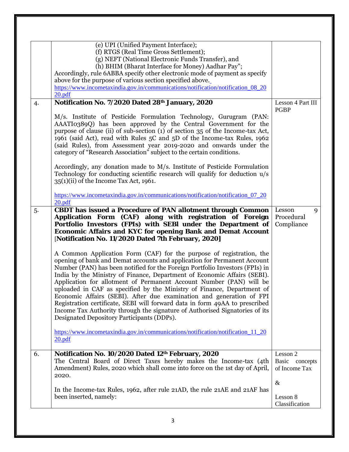|    | (e) UPI (Unified Payment Interface);<br>(f) RTGS (Real Time Gross Settlement);<br>(g) NEFT (National Electronic Funds Transfer), and<br>(h) BHIM (Bharat Interface for Money) Aadhar Pay";<br>Accordingly, rule 6ABBA specify other electronic mode of payment as specify<br>above for the purpose of various section specified above.<br>https://www.incometaxindia.gov.in/communications/notification/notification_08_20<br>20.pdf                                                                                                                                                                                                                                                                                                              |                                                |
|----|---------------------------------------------------------------------------------------------------------------------------------------------------------------------------------------------------------------------------------------------------------------------------------------------------------------------------------------------------------------------------------------------------------------------------------------------------------------------------------------------------------------------------------------------------------------------------------------------------------------------------------------------------------------------------------------------------------------------------------------------------|------------------------------------------------|
| 4. | Notification No. 7/2020 Dated 28th January, 2020                                                                                                                                                                                                                                                                                                                                                                                                                                                                                                                                                                                                                                                                                                  | Lesson 4 Part III                              |
|    | M/s. Institute of Pesticide Formulation Technology, Gurugram (PAN:<br>AAATI0389Q) has been approved by the Central Government for the<br>purpose of clause (ii) of sub-section (1) of section 35 of the Income-tax Act,<br>1961 (said Act), read with Rules 5C and 5D of the Income-tax Rules, 1962<br>(said Rules), from Assessment year 2019-2020 and onwards under the<br>category of "Research Association" subject to the certain conditions.                                                                                                                                                                                                                                                                                                | <b>PGBP</b>                                    |
|    | Accordingly, any donation made to M/s. Institute of Pesticide Formulation<br>Technology for conducting scientific research will qualify for deduction u/s<br>35(1)(ii) of the Income Tax Act, 1961.                                                                                                                                                                                                                                                                                                                                                                                                                                                                                                                                               |                                                |
|    | https://www.incometaxindia.gov.in/communications/notification/notification_07_20<br>20.pdf                                                                                                                                                                                                                                                                                                                                                                                                                                                                                                                                                                                                                                                        |                                                |
| 5. | <b>CBDT</b> has issued a Procedure of PAN allotment through Common<br>Application Form (CAF) along with registration of Foreign<br>Portfolio Investors (FPIs) with SEBI under the Department of<br><b>Economic Affairs and KYC for opening Bank and Demat Account</b><br>[Notification No. 11/2020 Dated 7th February, 2020]                                                                                                                                                                                                                                                                                                                                                                                                                      | Lesson<br>9<br>Procedural<br>Compliance        |
|    | A Common Application Form (CAF) for the purpose of registration, the<br>opening of bank and Demat accounts and application for Permanent Account<br>Number (PAN) has been notified for the Foreign Portfolio Investors (FPIs) in<br>India by the Ministry of Finance, Department of Economic Affairs (SEBI).<br>Application for allotment of Permanent Account Number (PAN) will be<br>uploaded in CAF as specified by the Ministry of Finance, Department of<br>Economic Affairs (SEBI). After due examination and generation of FPI<br>Registration certificate, SEBI will forward data in form 49AA to prescribed<br>Income Tax Authority through the signature of Authorised Signatories of its<br>Designated Depository Participants (DDPs). |                                                |
|    | https://www.incometaxindia.gov.in/communications/notification/notification 11 20<br>20.pdf                                                                                                                                                                                                                                                                                                                                                                                                                                                                                                                                                                                                                                                        |                                                |
| 6. | Notification No. 10/2020 Dated 12th February, 2020<br>The Central Board of Direct Taxes hereby makes the Income-tax (4th<br>Amendment) Rules, 2020 which shall come into force on the 1st day of April,<br>2020.                                                                                                                                                                                                                                                                                                                                                                                                                                                                                                                                  | Lesson 2<br>Basic<br>concepts<br>of Income Tax |
|    | In the Income-tax Rules, 1962, after rule 21AD, the rule 21AE and 21AF has<br>been inserted, namely:                                                                                                                                                                                                                                                                                                                                                                                                                                                                                                                                                                                                                                              | $\&$<br>Lesson 8<br>Classification             |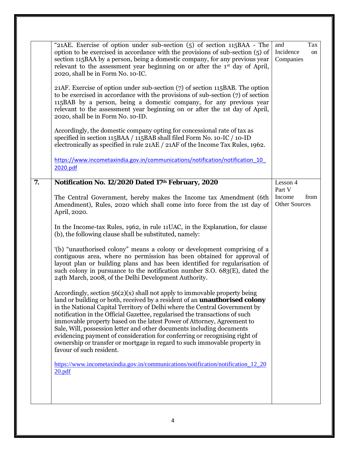|    | "21AE. Exercise of option under sub-section (5) of section 115BAA - The<br>option to be exercised in accordance with the provisions of sub-section (5) of<br>section 115BAA by a person, being a domestic company, for any previous year<br>relevant to the assessment year beginning on or after the 1st day of April,<br>2020, shall be in Form No. 10-IC.<br>$21AF$ . Exercise of option under sub-section $(7)$ of section 115BAB. The option<br>to be exercised in accordance with the provisions of sub-section $(7)$ of section<br>115BAB by a person, being a domestic company, for any previous year<br>relevant to the assessment year beginning on or after the 1st day of April,<br>2020, shall be in Form No. 10-ID.<br>Accordingly, the domestic company opting for concessional rate of tax as<br>specified in section 115BAA / 115BAB shall filed Form No. 10-IC / 10-ID<br>electronically as specified in rule 21AE / 21AF of the Income Tax Rules, 1962.<br>https://www.incometaxindia.gov.in/communications/notification/notification 10<br>2020.pdf | and<br>Tax<br>Incidence<br>on<br>Companies |
|----|-------------------------------------------------------------------------------------------------------------------------------------------------------------------------------------------------------------------------------------------------------------------------------------------------------------------------------------------------------------------------------------------------------------------------------------------------------------------------------------------------------------------------------------------------------------------------------------------------------------------------------------------------------------------------------------------------------------------------------------------------------------------------------------------------------------------------------------------------------------------------------------------------------------------------------------------------------------------------------------------------------------------------------------------------------------------------|--------------------------------------------|
| 7. | Notification No. 12/2020 Dated 17th February, 2020                                                                                                                                                                                                                                                                                                                                                                                                                                                                                                                                                                                                                                                                                                                                                                                                                                                                                                                                                                                                                      | Lesson 4<br>Part V                         |
|    | The Central Government, hereby makes the Income tax Amendment (6th<br>Amendment), Rules, 2020 which shall come into force from the 1st day of<br>April, 2020.                                                                                                                                                                                                                                                                                                                                                                                                                                                                                                                                                                                                                                                                                                                                                                                                                                                                                                           | Income<br>from<br>Other Sources            |
|    | In the Income-tax Rules, 1962, in rule 11 UAC, in the Explanation, for clause<br>(b), the following clause shall be substituted, namely:                                                                                                                                                                                                                                                                                                                                                                                                                                                                                                                                                                                                                                                                                                                                                                                                                                                                                                                                |                                            |
|    | (b) "unauthorised colony" means a colony or development comprising of a<br>contiguous area, where no permission has been obtained for approval of<br>layout plan or building plans and has been identified for regularisation of<br>such colony in pursuance to the notification number $S.O. 683(E)$ , dated the<br>24th March, 2008, of the Delhi Development Authority.                                                                                                                                                                                                                                                                                                                                                                                                                                                                                                                                                                                                                                                                                              |                                            |
|    | Accordingly, section 56(2)(x) shall not apply to immovable property being<br>land or building or both, received by a resident of an <b>unauthorised colony</b><br>in the National Capital Territory of Delhi where the Central Government by<br>notification in the Official Gazettee, regularised the transactions of such<br>immovable property based on the latest Power of Attorney, Agreement to<br>Sale, Will, possession letter and other documents including documents<br>evidencing payment of consideration for conferring or recognising right of<br>ownership or transfer or mortgage in regard to such immovable property in<br>favour of such resident.                                                                                                                                                                                                                                                                                                                                                                                                   |                                            |
|    | https://www.incometaxindia.gov.in/communications/notification/notification 12 20<br>20.pdf                                                                                                                                                                                                                                                                                                                                                                                                                                                                                                                                                                                                                                                                                                                                                                                                                                                                                                                                                                              |                                            |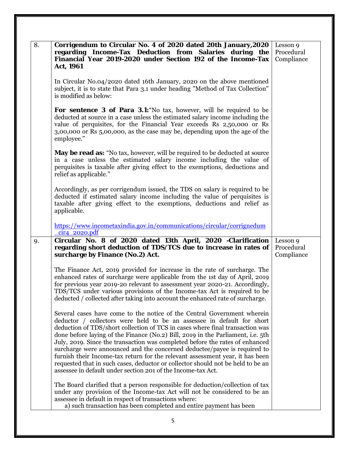| 8. | Corrigendum to Circular No. 4 of 2020 dated 20th January, 2020<br>regarding Income-Tax Deduction from Salaries during the<br>Financial Year 2019-2020 under Section 192 of the Income-Tax<br>Act, 1961                                                                                                                                                                                                                                                                                                                                                                                                                                                                                                                | Lesson 9<br>Procedural<br>Compliance |
|----|-----------------------------------------------------------------------------------------------------------------------------------------------------------------------------------------------------------------------------------------------------------------------------------------------------------------------------------------------------------------------------------------------------------------------------------------------------------------------------------------------------------------------------------------------------------------------------------------------------------------------------------------------------------------------------------------------------------------------|--------------------------------------|
|    | In Circular No.04/2020 dated 16th January, 2020 on the above mentioned<br>subject, it is to state that Para 3.1 under heading "Method of Tax Collection"<br>is modified as below:                                                                                                                                                                                                                                                                                                                                                                                                                                                                                                                                     |                                      |
|    | <b>For sentence 3 of Para 3.1:</b> No tax, however, will be required to be<br>deducted at source in a case unless the estimated salary income including the<br>value of perquisites, for the Financial Year exceeds Rs 2,50,000 or Rs<br>3,00,000 or Rs 5,00,000, as the case may be, depending upon the age of the<br>employee."                                                                                                                                                                                                                                                                                                                                                                                     |                                      |
|    | May be read as: "No tax, however, will be required to be deducted at source<br>in a case unless the estimated salary income including the value of<br>perquisites is taxable after giving effect to the exemptions, deductions and<br>relief as applicable."                                                                                                                                                                                                                                                                                                                                                                                                                                                          |                                      |
|    | Accordingly, as per corrigendum issued, the TDS on salary is required to be<br>deducted if estimated salary income including the value of perquisites is<br>taxable after giving effect to the exemptions, deductions and relief as<br>applicable.                                                                                                                                                                                                                                                                                                                                                                                                                                                                    |                                      |
|    | https://www.incometaxindia.gov.in/communications/circular/corrignedum<br>$cir4$ 2020.pdf                                                                                                                                                                                                                                                                                                                                                                                                                                                                                                                                                                                                                              |                                      |
| 9. | Circular No. 8 of 2020 dated 13th April, 2020 -Clarification<br>regarding short deduction of TDS/TCS due to increase in rates of<br>surcharge by Finance (No.2) Act.                                                                                                                                                                                                                                                                                                                                                                                                                                                                                                                                                  | Lesson 9<br>Procedural<br>Compliance |
|    | The Finance Act, 2019 provided for increase in the rate of surcharge. The<br>enhanced rates of surcharge were applicable from the 1st day of April, 2019<br>for previous year 2019-20 relevant to assessment year 2020-21. Accordingly,<br>TDS/TCS under various provisions of the Income-tax Act is required to be<br>deducted / collected after taking into account the enhanced rate of surcharge.                                                                                                                                                                                                                                                                                                                 |                                      |
|    | Several cases have come to the notice of the Central Government wherein<br>deductor / collectors were held to be an assessee in default for short<br>deduction of TDS/short collection of TCS in cases where final transaction was<br>done before laying of the Finance (No.2) Bill, 2019 in the Parliament, i.e. 5th<br>July, 2019. Since the transaction was completed before the rates of enhanced<br>surcharge were announced and the concerned deductee/payee is required to<br>furnish their Income-tax return for the relevant assessment year, it has been<br>requested that in such cases, deductor or collector should not be held to be an<br>assessee in default under section 201 of the Income-tax Act. |                                      |
|    | The Board clarified that a person responsible for deduction/collection of tax<br>under any provision of the Income-tax Act will not be considered to be an<br>assessee in default in respect of transactions where:<br>a) such transaction has been completed and entire payment has been                                                                                                                                                                                                                                                                                                                                                                                                                             |                                      |
|    | 5                                                                                                                                                                                                                                                                                                                                                                                                                                                                                                                                                                                                                                                                                                                     |                                      |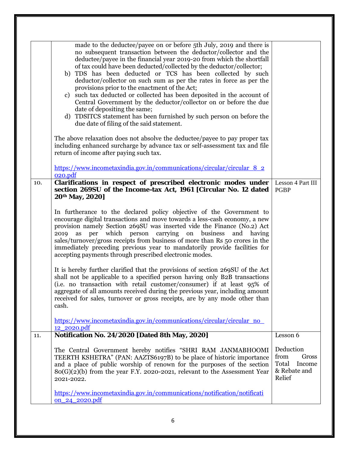|     | made to the deductee/payee on or before 5th July, 2019 and there is<br>no subsequent transaction between the deductor/collector and the<br>deductee/payee in the financial year 2019-20 from which the shortfall<br>of tax could have been deducted/collected by the deductor/collector;<br>b) TDS has been deducted or TCS has been collected by such<br>deductor/collector on such sum as per the rates in force as per the<br>provisions prior to the enactment of the Act;<br>c) such tax deducted or collected has been deposited in the account of<br>Central Government by the deductor/collector on or before the due<br>date of depositing the same;<br>d) TDSITCS statement has been furnished by such person on before the<br>due date of filing of the said statement.<br>The above relaxation does not absolve the deductee/payee to pay proper tax<br>including enhanced surcharge by advance tax or self-assessment tax and file<br>return of income after paying such tax.<br>https://www.incometaxindia.gov.in/communications/circular/circular 8 2<br>020.pdf                                                                                                                       |                                                                         |
|-----|-------------------------------------------------------------------------------------------------------------------------------------------------------------------------------------------------------------------------------------------------------------------------------------------------------------------------------------------------------------------------------------------------------------------------------------------------------------------------------------------------------------------------------------------------------------------------------------------------------------------------------------------------------------------------------------------------------------------------------------------------------------------------------------------------------------------------------------------------------------------------------------------------------------------------------------------------------------------------------------------------------------------------------------------------------------------------------------------------------------------------------------------------------------------------------------------------------|-------------------------------------------------------------------------|
| 10. | Clarifications in respect of prescribed electronic modes under<br>section 269SU of the Income-tax Act, 1961 [Circular No. 12 dated<br>20th May, 2020]<br>In furtherance to the declared policy objective of the Government to<br>encourage digital transactions and move towards a less-cash economy, a new<br>provision namely Section 269SU was inserted vide the Finance (No.2) Act<br>per<br>which person carrying<br>on<br>business<br>and having<br>2019<br>as<br>sales/turnover/gross receipts from business of more than Rs 50 crores in the<br>immediately preceding previous year to mandatorily provide facilities for<br>accepting payments through prescribed electronic modes.<br>It is hereby further clarified that the provisions of section 269SU of the Act<br>shall not be applicable to a specified person having only B2B transactions<br>(i.e. no transaction with retail customer/consumer) if at least 95% of<br>aggregate of all amounts received during the previous year, including amount<br>received for sales, turnover or gross receipts, are by any mode other than<br>cash.<br>https://www.incometaxindia.gov.in/communications/circular/circular_no<br>12_2020.pdf | Lesson 4 Part III<br><b>PGBP</b>                                        |
| 11. | Notification No. 24/2020 [Dated 8th May, 2020]                                                                                                                                                                                                                                                                                                                                                                                                                                                                                                                                                                                                                                                                                                                                                                                                                                                                                                                                                                                                                                                                                                                                                        | Lesson 6                                                                |
|     | The Central Government hereby notifies "SHRI RAM JANMABHOOMI<br>TEERTH KSHETRA" (PAN: AAZTS6197B) to be place of historic importance<br>and a place of public worship of renown for the purposes of the section<br>$80(G)(2)(b)$ from the year F.Y. 2020-2021, relevant to the Assessment Year<br>2021-2022.<br>https://www.incometaxindia.gov.in/communications/notification/notificati<br><u>on 24 2020.pdf</u>                                                                                                                                                                                                                                                                                                                                                                                                                                                                                                                                                                                                                                                                                                                                                                                     | Deduction<br>from<br>Gross<br>Total<br>Income<br>& Rebate and<br>Relief |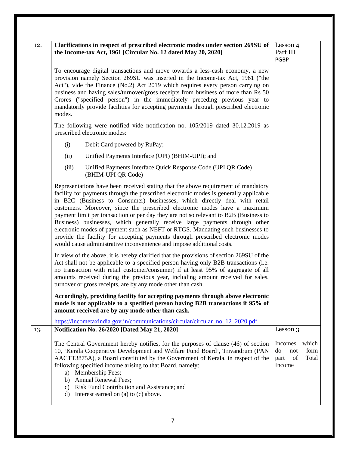| 12. | Clarifications in respect of prescribed electronic modes under section 269SU of<br>the Income-tax Act, 1961 [Circular No. 12 dated May 20, 2020]                                                                                                                                                                                                                                                                                                                                                                                                                                                                                                                                                                                                           | Lesson 4<br>Part III<br>PGBP                                           |
|-----|------------------------------------------------------------------------------------------------------------------------------------------------------------------------------------------------------------------------------------------------------------------------------------------------------------------------------------------------------------------------------------------------------------------------------------------------------------------------------------------------------------------------------------------------------------------------------------------------------------------------------------------------------------------------------------------------------------------------------------------------------------|------------------------------------------------------------------------|
|     | To encourage digital transactions and move towards a less-cash economy, a new<br>provision namely Section 269SU was inserted in the Income-tax Act, 1961 ("the<br>Act"), vide the Finance (No.2) Act 2019 which requires every person carrying on<br>business and having sales/turnover/gross receipts from business of more than Rs 50<br>Crores ("specified person") in the immediately preceding previous year to<br>mandatorily provide facilities for accepting payments through prescribed electronic<br>modes.                                                                                                                                                                                                                                      |                                                                        |
|     | The following were notified vide notification no. 105/2019 dated 30.12.2019 as<br>prescribed electronic modes:                                                                                                                                                                                                                                                                                                                                                                                                                                                                                                                                                                                                                                             |                                                                        |
|     | Debit Card powered by RuPay;<br>(i)                                                                                                                                                                                                                                                                                                                                                                                                                                                                                                                                                                                                                                                                                                                        |                                                                        |
|     | Unified Payments Interface (UPI) (BHIM-UPI); and<br>(ii)                                                                                                                                                                                                                                                                                                                                                                                                                                                                                                                                                                                                                                                                                                   |                                                                        |
|     | (iii)<br>Unified Payments Interface Quick Response Code (UPI QR Code)<br>(BHIM-UPI QR Code)                                                                                                                                                                                                                                                                                                                                                                                                                                                                                                                                                                                                                                                                |                                                                        |
|     | Representations have been received stating that the above requirement of mandatory<br>facility for payments through the prescribed electronic modes is generally applicable<br>in B2C (Business to Consumer) businesses, which directly deal with retail<br>customers. Moreover, since the prescribed electronic modes have a maximum<br>payment limit per transaction or per day they are not so relevant to B2B (Business to<br>Business) businesses, which generally receive large payments through other<br>electronic modes of payment such as NEFT or RTGS. Mandating such businesses to<br>provide the facility for accepting payments through prescribed electronic modes<br>would cause administrative inconvenience and impose additional costs. |                                                                        |
|     | In view of the above, it is hereby clarified that the provisions of section 269SU of the<br>Act shall not be applicable to a specified person having only B2B transactions (i.e.<br>no transaction with retail customer/consumer) if at least 95% of aggregate of all<br>amounts received during the previous year, including amount received for sales,<br>turnover or gross receipts, are by any mode other than cash.                                                                                                                                                                                                                                                                                                                                   |                                                                        |
|     | Accordingly, providing facility for accepting payments through above electronic<br>mode is not applicable to a specified person having B2B transactions if 95% of<br>amount received are by any mode other than cash.                                                                                                                                                                                                                                                                                                                                                                                                                                                                                                                                      |                                                                        |
| 13. | https://incometaxindia.gov.in/communications/circular/circular_no_12_2020.pdf<br>Notification No. 26/2020 [Dated May 21, 2020]                                                                                                                                                                                                                                                                                                                                                                                                                                                                                                                                                                                                                             | Lesson 3                                                               |
|     | The Central Government hereby notifies, for the purposes of clause (46) of section<br>10, 'Kerala Cooperative Development and Welfare Fund Board', Trivandrum (PAN<br>AACTT3875A), a Board constituted by the Government of Kerala, in respect of the<br>following specified income arising to that Board, namely:<br>a) Membership Fees;<br>b) Annual Renewal Fees;                                                                                                                                                                                                                                                                                                                                                                                       | which<br>Incomes<br>do<br>form<br>not<br>Total<br>of<br>part<br>Income |
|     | c) Risk Fund Contribution and Assistance; and<br>Interest earned on (a) to (c) above.<br>d)                                                                                                                                                                                                                                                                                                                                                                                                                                                                                                                                                                                                                                                                |                                                                        |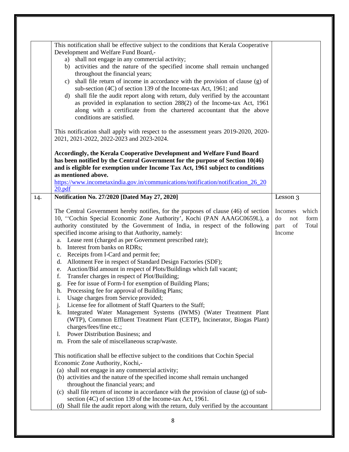|     | This notification shall be effective subject to the conditions that Kerala Cooperative<br>Development and Welfare Fund Board,-<br>a) shall not engage in any commercial activity;<br>b) activities and the nature of the specified income shall remain unchanged<br>throughout the financial years;<br>shall file return of income in accordance with the provision of clause (g) of<br>$\mathcal{C}$ )<br>sub-section (4C) of section 139 of the Income-tax Act, 1961; and<br>shall file the audit report along with return, duly verified by the accountant<br>d)<br>as provided in explanation to section 288(2) of the Income-tax Act, 1961<br>along with a certificate from the chartered accountant that the above<br>conditions are satisfied.                                                                                                                                                                                                                                                                                                                                                                                                                                    |                                                                     |
|-----|------------------------------------------------------------------------------------------------------------------------------------------------------------------------------------------------------------------------------------------------------------------------------------------------------------------------------------------------------------------------------------------------------------------------------------------------------------------------------------------------------------------------------------------------------------------------------------------------------------------------------------------------------------------------------------------------------------------------------------------------------------------------------------------------------------------------------------------------------------------------------------------------------------------------------------------------------------------------------------------------------------------------------------------------------------------------------------------------------------------------------------------------------------------------------------------|---------------------------------------------------------------------|
|     | This notification shall apply with respect to the assessment years 2019-2020, 2020-<br>2021, 2021-2022, 2022-2023 and 2023-2024.                                                                                                                                                                                                                                                                                                                                                                                                                                                                                                                                                                                                                                                                                                                                                                                                                                                                                                                                                                                                                                                         |                                                                     |
|     | Accordingly, the Kerala Cooperative Development and Welfare Fund Board<br>has been notified by the Central Government for the purpose of Section 10(46)<br>and is eligible for exemption under Income Tax Act, 1961 subject to conditions<br>as mentioned above.<br>https://www.incometaxindia.gov.in/communications/notification/notification 26 20<br>20.pdf                                                                                                                                                                                                                                                                                                                                                                                                                                                                                                                                                                                                                                                                                                                                                                                                                           |                                                                     |
| 14. | Notification No. 27/2020 [Dated May 27, 2020]                                                                                                                                                                                                                                                                                                                                                                                                                                                                                                                                                                                                                                                                                                                                                                                                                                                                                                                                                                                                                                                                                                                                            | Lesson 3                                                            |
|     | The Central Government hereby notifies, for the purposes of clause (46) of section<br>10, "Cochin Special Economic Zone Authority', Kochi (PAN AAAGC0659L), a<br>authority constituted by the Government of India, in respect of the following<br>specified income arising to that Authority, namely:<br>a. Lease rent (charged as per Government prescribed rate);<br>b. Interest from banks on RDRs;<br>Receipts from I-Card and permit fee;<br>c.<br>Allotment Fee in respect of Standard Design Factories (SDF);<br>d.<br>Auction/Bid amount in respect of Plots/Buildings which fall vacant;<br>e.<br>Transfer charges in respect of Plot/Building;<br>f.<br>Fee for issue of Form-I for exemption of Building Plans;<br>g.<br>Processing fee for approval of Building Plans;<br>h.<br>Usage charges from Service provided;<br>i.<br>License fee for allotment of Staff Quarters to the Staff;<br>j.<br>Integrated Water Management Systems (IWMS) (Water Treatment Plant<br>k.<br>(WTP), Common Effluent Treatment Plant (CETP), Incinerator, Biogas Plant)<br>charges/fees/fine etc.;<br>Power Distribution Business; and<br>1.<br>m. From the sale of miscellaneous scrap/waste. | Incomes<br>which<br>do<br>form<br>not<br>Total<br>part of<br>Income |
|     | This notification shall be effective subject to the conditions that Cochin Special<br>Economic Zone Authority, Kochi,-<br>(a) shall not engage in any commercial activity;                                                                                                                                                                                                                                                                                                                                                                                                                                                                                                                                                                                                                                                                                                                                                                                                                                                                                                                                                                                                               |                                                                     |
|     | (b) activities and the nature of the specified income shall remain unchanged<br>throughout the financial years; and<br>(c) shall file return of income in accordance with the provision of clause (g) of sub-<br>section (4C) of section 139 of the Income-tax Act, 1961.                                                                                                                                                                                                                                                                                                                                                                                                                                                                                                                                                                                                                                                                                                                                                                                                                                                                                                                |                                                                     |
|     | (d) Shall file the audit report along with the return, duly verified by the accountant                                                                                                                                                                                                                                                                                                                                                                                                                                                                                                                                                                                                                                                                                                                                                                                                                                                                                                                                                                                                                                                                                                   |                                                                     |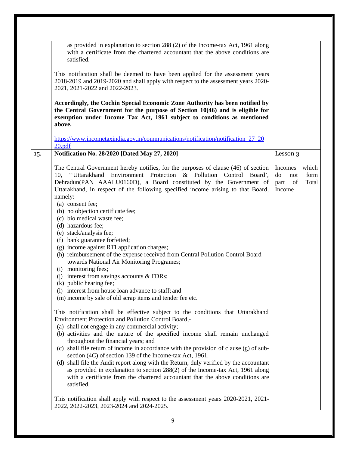|     | as provided in explanation to section 288 (2) of the Income-tax Act, 1961 along<br>with a certificate from the chartered accountant that the above conditions are<br>satisfied.                                                                                                                                                      |                                                    |               |
|-----|--------------------------------------------------------------------------------------------------------------------------------------------------------------------------------------------------------------------------------------------------------------------------------------------------------------------------------------|----------------------------------------------------|---------------|
|     | This notification shall be deemed to have been applied for the assessment years<br>2018-2019 and 2019-2020 and shall apply with respect to the assessment years 2020-<br>2021, 2021-2022 and 2022-2023.                                                                                                                              |                                                    |               |
|     | Accordingly, the Cochin Special Economic Zone Authority has been notified by<br>the Central Government for the purpose of Section 10(46) and is eligible for<br>exemption under Income Tax Act, 1961 subject to conditions as mentioned<br>above.                                                                                    |                                                    |               |
|     | https://www.incometaxindia.gov.in/communications/notification/notification_27_20<br>20.pdf                                                                                                                                                                                                                                           |                                                    |               |
| 15. | Notification No. 28/2020 [Dated May 27, 2020]                                                                                                                                                                                                                                                                                        | Lesson 3                                           |               |
|     | The Central Government hereby notifies, for the purposes of clause (46) of section<br>10, "Uttarakhand Environment Protection & Pollution Control Board',<br>Dehradun(PAN AAALU0160D), a Board constituted by the Government of<br>Uttarakhand, in respect of the following specified income arising to that Board,<br>namely:       | Incomes which<br>do<br>not<br>of<br>part<br>Income | form<br>Total |
|     | (a) consent fee;<br>(b) no objection certificate fee;<br>(c) bio medical waste fee;                                                                                                                                                                                                                                                  |                                                    |               |
|     | (d) hazardous fee;<br>(e) stack/analysis fee;                                                                                                                                                                                                                                                                                        |                                                    |               |
|     | (f) bank guarantee forfeited;<br>(g) income against RTI application charges;<br>(h) reimbursement of the expense received from Central Pollution Control Board<br>towards National Air Monitoring Programes;                                                                                                                         |                                                    |               |
|     | (i) monitoring fees;<br>interest from savings accounts $&$ FDRs;<br>(i)<br>(k) public hearing fee;                                                                                                                                                                                                                                   |                                                    |               |
|     | (1) interest from house loan advance to staff; and<br>(m) income by sale of old scrap items and tender fee etc.                                                                                                                                                                                                                      |                                                    |               |
|     | This notification shall be effective subject to the conditions that Uttarakhand<br>Environment Protection and Pollution Control Board,-<br>(a) shall not engage in any commercial activity;                                                                                                                                          |                                                    |               |
|     | (b) activities and the nature of the specified income shall remain unchanged<br>throughout the financial years; and<br>(c) shall file return of income in accordance with the provision of clause (g) of sub-                                                                                                                        |                                                    |               |
|     | section (4C) of section 139 of the Income-tax Act, 1961.<br>(d) shall file the Audit report along with the Return, duly verified by the accountant<br>as provided in explanation to section 288(2) of the Income-tax Act, 1961 along<br>with a certificate from the chartered accountant that the above conditions are<br>satisfied. |                                                    |               |
|     | This notification shall apply with respect to the assessment years 2020-2021, 2021-<br>2022, 2022-2023, 2023-2024 and 2024-2025.                                                                                                                                                                                                     |                                                    |               |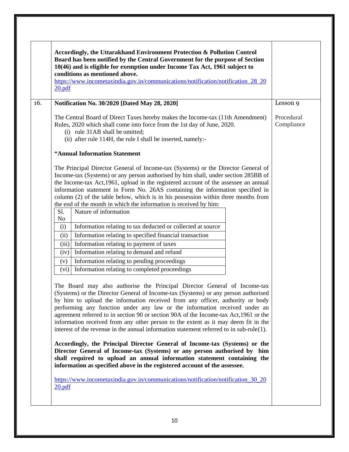|                                                                    | Board has been notified by the Central Government for the purpose of Section<br>10(46) and is eligible for exemption under Income Tax Act, 1961 subject to<br>conditions as mentioned above.<br>https://www.incometaxindia.gov.in/communications/notification/notification_28_20                                                                                                                                                                                                                                                                                                                                                                                                                                                                                                                                                                                                                                                                                                                                                                                                                                                                                                                                                                                                                                                                                                                                                                                                                                                                                                                                                                                                                                                                                                                                                                                              |                          |
|--------------------------------------------------------------------|-------------------------------------------------------------------------------------------------------------------------------------------------------------------------------------------------------------------------------------------------------------------------------------------------------------------------------------------------------------------------------------------------------------------------------------------------------------------------------------------------------------------------------------------------------------------------------------------------------------------------------------------------------------------------------------------------------------------------------------------------------------------------------------------------------------------------------------------------------------------------------------------------------------------------------------------------------------------------------------------------------------------------------------------------------------------------------------------------------------------------------------------------------------------------------------------------------------------------------------------------------------------------------------------------------------------------------------------------------------------------------------------------------------------------------------------------------------------------------------------------------------------------------------------------------------------------------------------------------------------------------------------------------------------------------------------------------------------------------------------------------------------------------------------------------------------------------------------------------------------------------|--------------------------|
| 20.pdf                                                             |                                                                                                                                                                                                                                                                                                                                                                                                                                                                                                                                                                                                                                                                                                                                                                                                                                                                                                                                                                                                                                                                                                                                                                                                                                                                                                                                                                                                                                                                                                                                                                                                                                                                                                                                                                                                                                                                               |                          |
|                                                                    | Notification No. 30/2020 [Dated May 28, 2020]                                                                                                                                                                                                                                                                                                                                                                                                                                                                                                                                                                                                                                                                                                                                                                                                                                                                                                                                                                                                                                                                                                                                                                                                                                                                                                                                                                                                                                                                                                                                                                                                                                                                                                                                                                                                                                 | Lesson 9                 |
|                                                                    | The Central Board of Direct Taxes hereby makes the Income-tax (11th Amendment)<br>Rules, 2020 which shall come into force from the 1st day of June, 2020.<br>(i) rule 31AB shall be omitted;<br>(ii) after rule 114H, the rule I shall be inserted, namely:-                                                                                                                                                                                                                                                                                                                                                                                                                                                                                                                                                                                                                                                                                                                                                                                                                                                                                                                                                                                                                                                                                                                                                                                                                                                                                                                                                                                                                                                                                                                                                                                                                  | Procedural<br>Compliance |
|                                                                    | "Annual Information Statement                                                                                                                                                                                                                                                                                                                                                                                                                                                                                                                                                                                                                                                                                                                                                                                                                                                                                                                                                                                                                                                                                                                                                                                                                                                                                                                                                                                                                                                                                                                                                                                                                                                                                                                                                                                                                                                 |                          |
| Sl.<br>No<br>(i)<br>(ii)<br>(iii)<br>(iv)<br>(v)<br>(vi)<br>20.pdf | The Principal Director General of Income-tax (Systems) or the Director General of<br>Income-tax (Systems) or any person authorised by him shall, under section 285BB of<br>the Income-tax Act, 1961, upload in the registered account of the assessee an annual<br>information statement in Form No. 26AS containing the information specified in<br>column (2) of the table below, which is in his possession within three months from<br>the end of the month in which the information is received by him:<br>Nature of information<br>Information relating to tax deducted or collected at source<br>Information relating to specified financial transaction<br>Information relating to payment of taxes<br>Information relating to demand and refund<br>Information relating to pending proceedings<br>Information relating to completed proceedings<br>The Board may also authorise the Principal Director General of Income-tax<br>(Systems) or the Director General of Income-tax (Systems) or any person authorised<br>by him to upload the information received from any officer, authority or body<br>performing any function under any law or the information received under an<br>agreement referred to in section 90 or section 90A of the Income-tax Act, 1961 or the<br>information received from any other person to the extent as it may deem fit in the<br>interest of the revenue in the annual information statement referred to in $sub-rule(1)$ .<br>Accordingly, the Principal Director General of Income-tax (Systems) or the<br>Director General of Income-tax (Systems) or any person authorised by him<br>shall required to upload an annual information statement containing the<br>information as specified above in the registered account of the assessee.<br>https://www.incometaxindia.gov.in/communications/notification/notification 30 20 |                          |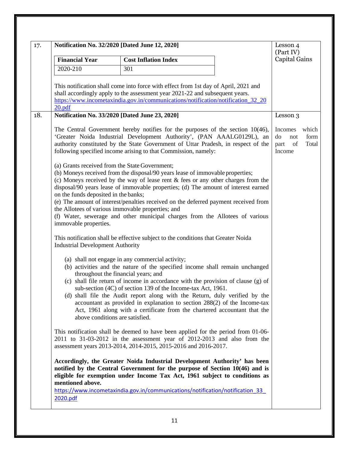|                                                                  | Notification No. 32/2020 [Dated June 12, 2020]                                                                                                                                                                                                                                                                                                                                                                                                                                           | Lesson 4<br>(Part IV)                                                  |
|------------------------------------------------------------------|------------------------------------------------------------------------------------------------------------------------------------------------------------------------------------------------------------------------------------------------------------------------------------------------------------------------------------------------------------------------------------------------------------------------------------------------------------------------------------------|------------------------------------------------------------------------|
| <b>Financial Year</b>                                            | <b>Cost Inflation Index</b>                                                                                                                                                                                                                                                                                                                                                                                                                                                              | <b>Capital Gains</b>                                                   |
| 2020-210                                                         | 301                                                                                                                                                                                                                                                                                                                                                                                                                                                                                      |                                                                        |
|                                                                  | This notification shall come into force with effect from 1st day of April, 2021 and<br>shall accordingly apply to the assessment year 2021-22 and subsequent years.<br>https://www.incometaxindia.gov.in/communications/notification/notification_32_20                                                                                                                                                                                                                                  |                                                                        |
| 20.pdf                                                           |                                                                                                                                                                                                                                                                                                                                                                                                                                                                                          |                                                                        |
|                                                                  | Notification No. 33/2020 [Dated June 23, 2020]                                                                                                                                                                                                                                                                                                                                                                                                                                           | Lesson 3                                                               |
|                                                                  | The Central Government hereby notifies for the purposes of the section $10(46)$ ,<br>'Greater Noida Industrial Development Authority', (PAN AAALG0129L), an<br>authority constituted by the State Government of Uttar Pradesh, in respect of the<br>following specified income arising to that Commission, namely:                                                                                                                                                                       | which<br>Incomes<br>form<br>do<br>not<br>Total<br>of<br>part<br>Income |
| on the funds deposited in the banks;                             | (a) Grants received from the State Government;<br>(b) Moneys received from the disposal/90 years lease of immovable properties;<br>(c) Moneys received by the way of lease rent & fees or any other charges from the<br>disposal/90 years lease of immovable properties; (d) The amount of interest earned<br>(e) The amount of interest/penalties received on the deferred payment received from<br>the Allotees of various immovable properties; and                                   |                                                                        |
| immovable properties.<br><b>Industrial Development Authority</b> | (f) Water, sewerage and other municipal charges from the Allotees of various<br>This notification shall be effective subject to the conditions that Greater Noida                                                                                                                                                                                                                                                                                                                        |                                                                        |
|                                                                  | (a) shall not engage in any commercial activity;<br>(b) activities and the nature of the specified income shall remain unchanged<br>throughout the financial years; and<br>(c) shall file return of income in accordance with the provision of clause (g) of<br>sub-section (4C) of section 139 of the Income-tax Act, 1961.<br>(d) shall file the Audit report along with the Return, duly verified by the<br>accountant as provided in explanation to section 288(2) of the Income-tax |                                                                        |
|                                                                  | Act, 1961 along with a certificate from the chartered accountant that the<br>above conditions are satisfied.                                                                                                                                                                                                                                                                                                                                                                             |                                                                        |
|                                                                  | This notification shall be deemed to have been applied for the period from 01-06-<br>$2011$ to $31-03-2012$ in the assessment year of $2012-2013$ and also from the<br>assessment years 2013-2014, 2014-2015, 2015-2016 and 2016-2017.                                                                                                                                                                                                                                                   |                                                                        |
| mentioned above.                                                 | Accordingly, the Greater Noida Industrial Development Authority' has been<br>notified by the Central Government for the purpose of Section $10(46)$ and is<br>eligible for exemption under Income Tax Act, 1961 subject to conditions as                                                                                                                                                                                                                                                 |                                                                        |
|                                                                  | https://www.incometaxindia.gov.in/communications/notification/notification_33_                                                                                                                                                                                                                                                                                                                                                                                                           |                                                                        |
|                                                                  |                                                                                                                                                                                                                                                                                                                                                                                                                                                                                          |                                                                        |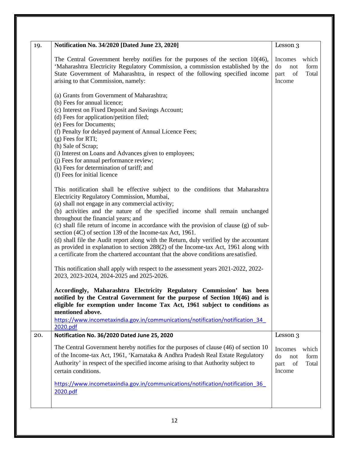| 19. | Notification No. 34/2020 [Dated June 23, 2020]                                                                                                                                                                                                                                                                                                                                                                                                                                                                                                                                                                                                                                                                                                                          | Lesson 3                                                                                  |
|-----|-------------------------------------------------------------------------------------------------------------------------------------------------------------------------------------------------------------------------------------------------------------------------------------------------------------------------------------------------------------------------------------------------------------------------------------------------------------------------------------------------------------------------------------------------------------------------------------------------------------------------------------------------------------------------------------------------------------------------------------------------------------------------|-------------------------------------------------------------------------------------------|
|     | The Central Government hereby notifies for the purposes of the section $10(46)$ ,<br>'Maharashtra Electricity Regulatory Commission, a commission established by the<br>State Government of Maharashtra, in respect of the following specified income<br>arising to that Commission, namely:                                                                                                                                                                                                                                                                                                                                                                                                                                                                            | which<br>Incomes<br>form<br>do<br>not<br>Total<br>part<br>of<br>Income                    |
|     | (a) Grants from Government of Maharashtra;<br>(b) Fees for annual licence;<br>(c) Interest on Fixed Deposit and Savings Account;<br>(d) Fees for application/petition filed;<br>(e) Fees for Documents;<br>(f) Penalty for delayed payment of Annual Licence Fees;<br>$(g)$ Fees for RTI;<br>(h) Sale of Scrap;<br>(i) Interest on Loans and Advances given to employees;<br>(j) Fees for annual performance review;<br>(k) Fees for determination of tariff; and                                                                                                                                                                                                                                                                                                       |                                                                                           |
|     | (1) Fees for initial licence<br>This notification shall be effective subject to the conditions that Maharashtra<br>Electricity Regulatory Commission, Mumbai,<br>(a) shall not engage in any commercial activity;<br>(b) activities and the nature of the specified income shall remain unchanged<br>throughout the financial years; and<br>(c) shall file return of income in accordance with the provision of clause (g) of sub-<br>section (4C) of section 139 of the Income-tax Act, 1961.<br>(d) shall file the Audit report along with the Return, duly verified by the accountant<br>as provided in explanation to section 288(2) of the Income-tax Act, 1961 along with<br>a certificate from the chartered accountant that the above conditions are satisfied. |                                                                                           |
|     | This notification shall apply with respect to the assessment years 2021-2022, 2022-<br>2023, 2023-2024, 2024-2025 and 2025-2026.<br>Accordingly, Maharashtra Electricity Regulatory Commission' has been<br>notified by the Central Government for the purpose of Section $10(46)$ and is<br>eligible for exemption under Income Tax Act, 1961 subject to conditions as<br>mentioned above.<br>https://www.incometaxindia.gov.in/communications/notification/notification 34<br>2020.pdf                                                                                                                                                                                                                                                                                |                                                                                           |
| 20. | Notification No. 36/2020 Dated June 25, 2020<br>The Central Government hereby notifies for the purposes of clause (46) of section 10<br>of the Income-tax Act, 1961, 'Karnataka & Andhra Pradesh Real Estate Regulatory<br>Authority' in respect of the specified income arising to that Authority subject to<br>certain conditions.                                                                                                                                                                                                                                                                                                                                                                                                                                    | Lesson 3<br><b>Incomes</b><br>which<br>form<br>do<br>not<br>Total<br>of<br>part<br>Income |
|     | https://www.incometaxindia.gov.in/communications/notification/notification 36<br>2020.pdf                                                                                                                                                                                                                                                                                                                                                                                                                                                                                                                                                                                                                                                                               |                                                                                           |